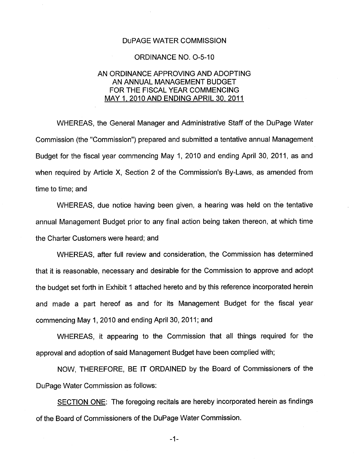## DuPAGE WATER COMMISSION

### ORDINANCE NO. 0-5-10

## AN ORDINANCE APPROVING AND ADOPTING AN ANNUAL MANAGEMENT BUDGET FOR THE FISCAL YEAR COMMENCING MAY 1, 2010 AND ENDING APRIL 30, 2011

WHEREAS, the General Manager and Administrative Staff of the DuPage Water Commission (the "Commission") prepared and submitted a tentative annual Management Budget for the fiscal year commencing May 1, 2010 and ending April 30, 2011, as and when required by Article X, Section 2 of the Commission's By-Laws, as amended from time to time; and

WHEREAS, due notice having been given, a hearing was held on the tentative annual Management Budget prior to any final action being taken thereon, at which time the Charter Customers were heard; and

WHEREAS, after full review and consideration, the Commission has determined that it is reasonable, necessary and desirable for the Commission to approve and adopt the budget set forth in Exhibit 1 attached hereto and by this reference incorporated herein and made a part hereof as and for its Management Budget for the fiscal year commencing May 1, 2010 and ending April 30, 2011; and

WHEREAS, it appearing to the Commission that all things required for the approval and adoption of said Management Budget have been complied with;

NOW, THEREFORE, BE IT ORDAINED by the Board of Commissioners of the DuPage Water Commission as follows:

SECTION ONE: The foregoing recitals are hereby incorporated herein as findings of the Board of Commissioners of the DuPage Water Commission.

 $-1-$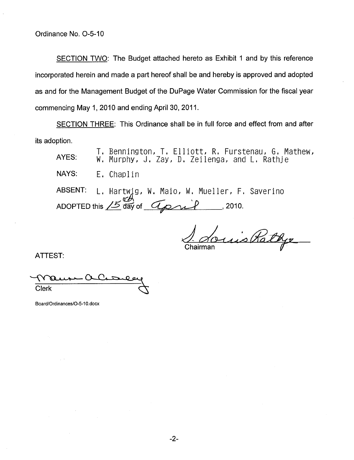SECTION TWO: The Budget attached hereto as Exhibit 1 and by this reference incorporated herein and made a part hereof shall be and hereby is approved and adopted as and for the Management Budget of the DuPage Water Commission for the fiscal year commencing May 1, 2010 and ending April 30, 2011.

SECTION THREE: This Ordinance shall be in full force and effect from and after its adoption.

T. Bennington, T. Elliott, R. Furstenau, G. Mathew, AYES: W. Murphy, J. Zay, D. Zeilenga, and L. Rathje NAYS: ABSENT: ADOPTED this  $15$  day of  $42$  , 2010. E. Chaplin L. Hartwig, W. Maio, W. Mueller, F. Saverino

Quis Rathy

ATTEST:

Clerk

Board/Ordinances/0-5-10.docx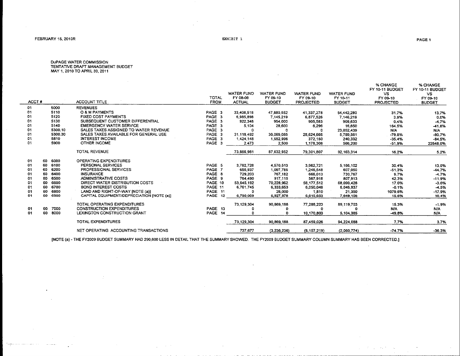$\ddot{\phantom{a}}$ 

state of the control of

D∪PAGE WATER COMMISSION<br>TENTATIVE DRAFT MANAGEMENT BUDGET<br>MAY 1, 2010 TO APRIL 30, 2011

| ACCT# |             | <b>ACCOUNT TITLE</b>                      | TOTAL<br><b>FROM</b> | <b>WATER FUND</b><br>FY 08-09<br><b>ACTUAL</b> | <b>WATER FUND</b><br>FY 09-10<br><b>BUDGET</b> | <b>WATER FUND</b><br>FY 09-10<br><b>PROJECTED</b> | <b>WATER FUND</b><br>FY 10-11<br><b>BUDGET</b> | % CHANGE<br>FY 10-11 BUDGET<br><b>VS</b><br>FY 09-10<br><b>PROJECTED</b> | % CHANGE<br>FY 10-11 BUDGET<br>VS.<br>FY 09-10<br><b>BUDGET</b> |
|-------|-------------|-------------------------------------------|----------------------|------------------------------------------------|------------------------------------------------|---------------------------------------------------|------------------------------------------------|--------------------------------------------------------------------------|-----------------------------------------------------------------|
| 01    | 5000        | <b>REVENUES</b>                           |                      |                                                |                                                |                                                   |                                                |                                                                          |                                                                 |
| 01    | 5110        | <b>O &amp; M PAYMENTS</b>                 | PAGE <sub>3</sub>    | 33,408,518                                     | 47,880,552                                     | 41.337.278                                        | 54,442,280                                     | 31.7%                                                                    | 13.7%                                                           |
| 01    | 5120        | <b>FIXED COST PAYMENTS</b>                | PAGE 3               | 6,985,898                                      | 7,145,219                                      | 6,877,526                                         | 7.146.219                                      | 3.9%                                                                     | 0.0%                                                            |
| 01    | 5130        | SUBSEQUENT CUSTOMER DIFFERENTIAL          | PAGE 3               | 922,348                                        | 954,000                                        | 905,583                                           | 909,633                                        | 0.4%                                                                     | $-4.7%$                                                         |
| 01    | 5140        | <b>EMERGENCY WATER SERVICE</b>            | PAGE 3               | 5.104                                          | 28,600                                         | 6,296                                             | 16,650                                         | 164.5%                                                                   | -41.8%                                                          |
| 01    | 5300.10     | SALES TAXES ASSIGNED TO WATER REVENUE     | PAGE 3               |                                                |                                                |                                                   | 23,052,439                                     | N/A                                                                      | N/A                                                             |
| 01    | 5300.30     | SALES TAXES AVAILABLE FOR GENERAL USE     | PAGE 3               | 31,118,492                                     | 30,069,085                                     | 28,624,666                                        | 5,789,561                                      | $-79.8%$                                                                 | $-80.7%$                                                        |
| -01   | 5810        | INTEREST INCOME                           | PAGE 3               | 1,424,148                                      | 1,552,996                                      | 372.150                                           | 240.332                                        | $-35.4%$                                                                 | $-84.5%$                                                        |
| 01    | 5900        | OTHER INCOME                              | PAGE 3               | 2.473                                          | 2,500                                          | 1,178,308                                         | 566,200                                        | -51.9%                                                                   | 22548.0%                                                        |
|       |             | <b>TOTAL REVENUE</b>                      |                      | 73,866,981                                     | 87.632.952                                     | 79.301.807                                        | 92.163.314                                     | 16.2%                                                                    | 5.2%                                                            |
| 01    | 60 6000     | OPERATING EXPENDITURES                    |                      |                                                |                                                |                                                   |                                                |                                                                          |                                                                 |
| 01    | 60<br>6100  | PERSONAL SERVICES                         | PAGE 5               | 3,782,728                                      | 4,570,513                                      | 3.962,721                                         | 5,166,102                                      | 30.4%                                                                    | 13.0%                                                           |
| 01    | 6200<br>60  | PROFESSIONAL SERVICES                     | PAGE 7               | 655.937                                        | 1.097.785                                      | 1.246.548                                         | 607.050                                        | $-51.3%$                                                                 | -44.7%                                                          |
| 01    | 6400<br>60  | <b>INSURANCE</b>                          | PAGE 8               | 729.203                                        | 767,182                                        | 666,013                                           | 730,767                                        | 9.7%                                                                     | $-4.7%$                                                         |
| 01    | 6500<br>60  | ADMINISTRATIVE COSTS                      | PAGE 9               | 764,490                                        | 917,115                                        | 567,918                                           | 807,913                                        | 42.3%                                                                    | $-11.9%$                                                        |
| 01    | 6600<br>60  | DIRECT WATER DISTRIBUTION COSTS           | PAGE 10              | 53,645,192                                     | 70,228,962                                     | 58,177,512                                        | 68,090,428                                     | 17.0%                                                                    | $-3.0%$                                                         |
| 01    | 6700<br>60  | <b>BOND INTEREST COSTS</b>                | PAGE 11              | 6,761,745                                      | 6,333,653                                      | 6,050,048                                         | 6,046,937                                      | $-0.1%$                                                                  | $-4.5%$                                                         |
| 01    | 6800<br>60  | LAND AND RIGHT-OF-WAY INOTE (a)I          | PAGE 11              |                                                | 26,000                                         | 1,810                                             | 21,350                                         | 1079.6%                                                                  | $-17.9%$                                                        |
| 01    | 6900<br>60  | CAPITAL EQUIPMENT/DEPRECIATION INOTE (a)] | PAGE 12              | 6,790,009                                      | 6,927,978                                      | 6,615,653                                         | 7,649,156                                      | 15.6%                                                                    | 10.4%                                                           |
|       |             | TOTAL OPERATING EXPENDITURES              |                      | 73,129,304                                     | 90,869,188                                     | 77,288,223                                        | 89,119,703                                     | 15,3%                                                                    | $-1.9%$                                                         |
| 01    | 7000<br>60  | <b>CONSTRUCTION EXPENDITURES</b>          | PAGE 13              |                                                | o                                              | n                                                 | n                                              | N/A                                                                      | N/A                                                             |
| 01    | 60.<br>8000 | LEXINGTON CONSTRUCTION GRANT              | PAGE 14              |                                                |                                                | 10,170,803                                        | 5,104,385                                      | -49.8%                                                                   | N/A                                                             |
|       |             | <b>TOTAL EXPENDITURES</b>                 |                      | 73.129.304                                     | 90.869.188                                     | 87,459,026                                        | 94.224.088                                     | 7.7%                                                                     | 3.7%                                                            |
|       |             | NET OPERATING ACCOUNTING TRANSACTIONS     |                      | 737.677                                        | (3.236, 236)                                   | (8, 157, 219)                                     | (2,060,774)                                    | $-74.7%$                                                                 | $-36.3%$                                                        |
|       |             |                                           |                      |                                                |                                                |                                                   |                                                |                                                                          |                                                                 |

[NOTE (a) - THE FY2009 BUDGET SUMMARY HAD 290,600 LESS IN DETAIL THAT THE SUMMARY SHOWED. THE FY2009 BUDGET SUMMARY COLUMN SUMMARY HAS BEEN CORRECTED.]

 $\sim 800$  km s  $^{-1}$   $\sim$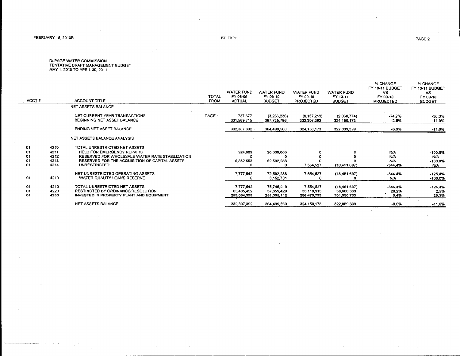#### PAGE 2

# D∪PAGE WATER COMMISSION<br>TENTATIVE DRAFT MANAGEMENT BUDGET<br>MAY 1, 2010 TO APRIL 30, 2011

| ACCT#                      |                                      | ACCOUNT TITLE                                                                                                                                                                                    | TOTAL<br><b>FROM</b> | <b>WATER FUND</b><br>FY 08-09<br><b>ACTUAL</b> | WATER FUND<br>FY 09-10<br><b>BUDGET</b> | <b>WATER FUND</b><br>FY 09-10<br><b>PROJECTED</b> | WATER FUND<br>FY 10-11<br><b>BUDGET</b>     | % CHANGE<br>FY 10-11 BUDGET<br>٧S<br>FY 09-10<br><b>PROJECTED</b> | % CHANGE<br>FY 10-11 BUDGET<br>VS.<br>FY 09-10<br><b>BUDGET</b> |
|----------------------------|--------------------------------------|--------------------------------------------------------------------------------------------------------------------------------------------------------------------------------------------------|----------------------|------------------------------------------------|-----------------------------------------|---------------------------------------------------|---------------------------------------------|-------------------------------------------------------------------|-----------------------------------------------------------------|
|                            |                                      | <b>NET ASSETS BALANCE</b>                                                                                                                                                                        |                      |                                                |                                         |                                                   |                                             |                                                                   |                                                                 |
|                            |                                      | NET CURRENT YEAR TRANSACTIONS<br>BEGINNING NET ASSET BALANCE                                                                                                                                     | PAGE 1               | 737,677<br>331,569,715                         | (3,236,236)<br>367,735,796              | (B.157.219)<br>332,307,392                        | (2,060,774)<br>324, 150, 173                | -74.7%<br>$-2.5%$                                                 | -36,3%<br>$-11.9%$                                              |
|                            |                                      | <b>ENDING NET ASSET BALANCE</b>                                                                                                                                                                  |                      | 332,307,392                                    | 364.499.560                             | 324.150.173                                       | 322.089.399                                 | $-0.6%$                                                           | $-11.6%$                                                        |
|                            |                                      | NET ASSETS BALANCE ANALYSIS                                                                                                                                                                      |                      |                                                |                                         |                                                   |                                             |                                                                   |                                                                 |
| 01<br>01<br>01<br>01<br>01 | 4210<br>4211<br>4212<br>4213<br>4214 | TOTAL UNRESTRICTED NET ASSETS<br><b>HELD FOR EMERGENCY REPAIRS</b><br>RESERVED FOR WHOLESALE WATER RATE STABILIZATION.<br>RESERVED FOR THE ACQUISITION OF CAPITAL ASSETS.<br><b>UNRESTRICTED</b> |                      | 924,989<br>6,852,553                           | $-20,000,000$<br>52,592,288             | 7,554,527                                         | (18.461.697)                                | <b>N/A</b><br><b>N/A</b><br><b>N/A</b><br>$-344.4%$               | $-100.0%$<br>N/A<br>$-100.0%$<br>N/A                            |
| 01                         | 4219                                 | NET UNRESTRICTED OPERATING ASSETS<br>WATER QUALITY LOANS RESERVE                                                                                                                                 |                      | 7,777,542                                      | 72,592,288<br>3,152,731                 | 7,554.527                                         | (18,461,697)                                | $-344.4%$<br>N/A.                                                 | $-125.4%$<br>$-100.0%$                                          |
| 01<br>01<br>01             | 4210<br>4220<br>4230                 | TOTAL UNRESTRICTED NET ASSETS<br><b>RESTRICTED BY ORDINANCE/RESOLUTION</b><br><b>INVESTED IN PROPERTY PLANT AND EQUIPMENT</b>                                                                    |                      | 7,777,542<br>65 435 452<br>259,094,398         | 75,745,019<br>37,659,429<br>251,095,112 | 7,554,527<br>30,119,913<br>286,475,733            | (18, 461, 697)<br>38,600,363<br>301,950,733 | $-344.4%$<br>28.2%<br>5.4%                                        | $-124.4%$<br>2.5%<br>20.3%                                      |
|                            |                                      | NET ASSETS BALANCE                                                                                                                                                                               |                      | 332, 307, 392                                  | 364,499,560                             | 324, 150, 173                                     | 322,089,399                                 | $-0.6%$                                                           | $-11.6%$                                                        |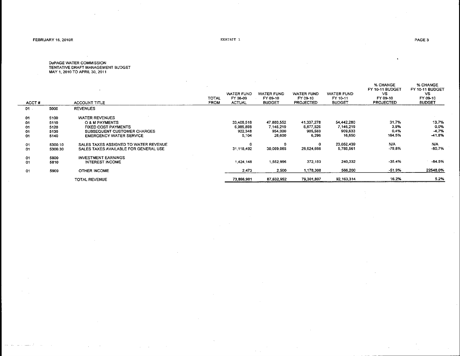$\sim$ 

 $\sim$   $\sim$ 

EXHIBIT 1

 $\sim$ 

 $\bullet$ 

 $\sim$ D∪PAGE WATER COMMISSION<br>TENTATIVE DRAFT MANAGEMENT BUDGET<br>MAY 1, 2010 TO APRIL 30, 2011

 $\mathcal{L}_{\mathbf{a}}$ 

 $\sim$ 

**Contract** 

| 5000<br><b>REVENUES</b><br>$01$ .<br>01<br>5100<br><b>WATER REVENUES</b><br>41,337,278<br>54,442,280<br>33,408,518<br>47.880.552<br>01<br><b>O &amp; M PAYMENTS</b><br>5110 | % CHANGE<br>% CHANGE<br>FY 10-11 BUDGET<br>FY 10-11 BUDGET<br>VS.<br>FY 09-10<br><b>BUDGET</b><br><b>PROJECTED</b> |
|-----------------------------------------------------------------------------------------------------------------------------------------------------------------------------|--------------------------------------------------------------------------------------------------------------------|
|                                                                                                                                                                             |                                                                                                                    |
|                                                                                                                                                                             | 31.7%<br>13.7%                                                                                                     |
| 6,877,526<br>7.146.219<br>6,985,898<br>7.145,219<br>5120<br><b>FIXED COST PAYMENTS</b>                                                                                      | 0.0%<br>3,9%                                                                                                       |
| 01<br>909,633<br>922,348<br>954,000<br>905.583<br>SUBSEQUENT CUSTOMER CHARGES                                                                                               | $-4.7%$<br>0.4%                                                                                                    |
| 5130<br>01<br>16,650<br>5.104<br>6,296<br>28,600<br><b>EMERGENCY WATER SERVICE</b><br>5140<br>01                                                                            | $-41.8%$<br>164.5%                                                                                                 |
|                                                                                                                                                                             |                                                                                                                    |
| N/A<br>23,052,439<br>0<br>0<br>0<br>SALES TAXES ASSIGNED TO WATER REVENUE<br>01<br>5300.10                                                                                  | N/A                                                                                                                |
| 5,789,561<br>30,069,085<br>28,624,666<br>31.118.492<br>SALES TAXES AVAILABLE FOR GENERAL USE<br>01<br>5300.30                                                               | $-80.7%$<br>$-79.8%$                                                                                               |
|                                                                                                                                                                             |                                                                                                                    |
| <b>INVESTMENT EARNINGS</b><br>01<br>5800                                                                                                                                    |                                                                                                                    |
| 372,150<br>240,332<br>1,552,996<br>1,424,148<br><b>INTEREST INCOME</b><br>01<br>5810                                                                                        | $-84.5%$<br>$-35.4%$                                                                                               |
|                                                                                                                                                                             |                                                                                                                    |
| 566,200<br>2,500<br>1,178,308<br>2,473<br>5900<br>OTHER INCOME<br>01                                                                                                        | 22548.0%<br>-51.9%                                                                                                 |
| 79.301.807<br>92.163.314<br>87,632,952<br>73,866,981<br>TOTAL REVENUE                                                                                                       | 16.2%<br>5.2%                                                                                                      |

 $\sim$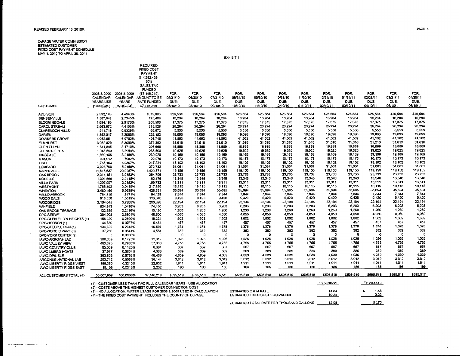#### REVISED FEBRUARY 15, 2010R

a communication

DuPAGE WATER COMMISSION<br>ESTIMATED CUSTOMER<br>FIXED COST PAYMENT SCHEDULE<br>MAY 1, 2010 TO APRIL 30, 2011

EXHIBIT 1

|                                           |                    |                    | <b>REQUIRED</b><br><b>FIXED COST</b><br>PAYMENT<br>\$14,292,438<br>50%<br>SALES TAX<br><b>FUNDED</b> |              |              |              |                |                |                |                |                |                |                |                |                 |
|-------------------------------------------|--------------------|--------------------|------------------------------------------------------------------------------------------------------|--------------|--------------|--------------|----------------|----------------|----------------|----------------|----------------|----------------|----------------|----------------|-----------------|
|                                           | 2008 & 2009        | 2008 & 2009        | (57.146.219)                                                                                         | FOR:         | FOR:         | FOR:         | FOR:           | FOR.           | FOR:           | FOR:           | FOR:           | FOR:           | FOR:           | FOR:           | FOR:            |
|                                           | CALENDAR           | CALENDAR           | AMOUNT TO BE                                                                                         | 05/31/10     | 06/30/10     | 07/31/10     | 08/31/10       | 09/30/10       | 10/31/10       | 11/30/10       | 12/31/10       | 01/31/11       | 02/28/11       | 03/31/11       | 04/30/11        |
|                                           | YEARS USE          | <b>YEARS</b>       | RATE FUNDED                                                                                          | DUE:         | DUE:         | DUE:         | DUE:           | DUE:           | DUE:           | DUE:           | DUE:           | DUE:           | DUE:           | DUE:           | DUE:            |
| <b>CUSTOMER</b>                           | (1000 GAL)         | % USAGE            | \$7 146,219                                                                                          | 07/10/10     | 08/10/10     | 09/10/10     | 10/10/10       | 11/10/10       | 12/10/10       | 01/10/11       | 02/10/11       | 03/10/11       | 04/10/11       | 05/10/11       | 06/10/11        |
| <b>ADDISON</b>                            | 2,592,143          | 4.4640%            | \$319,008                                                                                            | \$26,584     | \$26,584     | \$26,584     | \$26,584       | \$26,584       | \$26.584       | \$26,584       | \$26,584       | \$26,584       | \$26,584       | \$26,584       | \$26,584        |
| <b>BENSENVILLE</b>                        | 1,587,842          | 2.7345%            | 195,408                                                                                              | 16,284       | 16,284       | 16,284       | 16,284         | 16,284         | 16,284         | 16,284         | 16,284         | 16,284         | 16,284         | 16,284         | 16,284          |
| <b>BLOOMINGDALE</b>                       | 1,694.195          | 2.9176%            | 208,500                                                                                              | 17,375       | 17,375       | 17,375       | 17,375         | 17,375         | 17,375         | 17,375         | 17,375         | 17,375         | 17,375         | 17,375         | 17,375          |
| <b>CAROL STREAM</b>                       | 2,563.872          | 4.4153%            | 315,528                                                                                              | 26.294       | 26,294       | 26.294       | 26,294         | 26,294         | 26,294         | 26,294         | 26,294         | 26.294         | 26.294         | 26.294         | 26,294          |
| <b>CLARENDON HILLS:</b>                   | 541,718            | 0.9329%            | 66,672                                                                                               | 5,556        | 5,556        | 5,556        | 5.556          | 5,556          | 5.556          | 5,556          | 5,556          | 5,556          | 5.556          | 5,556          | 5,556           |
| DARIEN                                    | 1,862,017          | 3.2066%            | 229,152                                                                                              | 19.096       | 19,096       | 19,096       | 19,096         | 19,096         | 19,096         | 19,096         | 19,096         | 19,096         | 19.096         | 19,096         | 19,096          |
| DOWNERS GROVE                             | 4,052,651          | 6.9792%            | 498,745                                                                                              | 41.563       | 41,562       | 41,562       | 41.562         | 41.562         | 41.562         | 41.562         | 41.562         | 41.562         | 41.562         | 41,562         | 41,562          |
| <b>ELMHURST</b>                           | 3,082,829          | 5.3090%            | 379.392                                                                                              | 31,616       | 31.616       | 31.616       | 31,616         | 31,616         | 31.616         | 31.616         | 31,616         | 31,616         | 31,616         | 31,616         | 31,616          |
| <b>GLEN ELLYN</b>                         | 1,841,845          | 3.1719%            | 226,668                                                                                              | 18,889       | 18,889       | 18,889       | 18,689         | 18,889         | 18,889         | 16,889         | 18,889         | 18,889         | 18,889         | 18,889         | 16,889          |
| <b>GLENDALE HTS</b>                       | 1,913,560          | 3.2954%            | 235,500                                                                                              | 19,625       | 19,625       | 19,625       | 19,625         | 19.625         | 19.625         | 19.625         | 19,625         | 19.625         | 19.625         | 19,625         | 19,625          |
| <b>HINSDALE</b>                           | 1.869,105          | 3.2188%            | 230.028                                                                                              | 19,169       | 19,169       | 19,169       | 19,169         | 19,169         | 19,169         | 19,169         | 19,169         | 19,169         | 19,169         | 19,169         | 19,169          |
| <b>ITASCA</b>                             | 991,912            | 1.7082%            | 122,076                                                                                              | 10,173       | 10,173       | 10,173       | 10,173         | 10,173         | 10.173         | 10.173         | 10.173         | 10.173         | 10,173         | 10,173         | 10,173          |
| <b>LISLE</b>                              | 1,765,103          | 3.0397%            | 217,224                                                                                              | 18,102       | 18,102       | 18,102       | 18,102         | 18,102         | 18,102         | 18,102         | 18.102         | 18.102         | 18,102         | 18,102         | 18,102          |
| <b>LOMBARD</b>                            | 3,028,700          | 5.2158%            | 372,732                                                                                              | 31,061       | 31,061       | 31,061       | 31,061         | 31,061         | 31,061         | 31.061         | 31,061         | 31.061         | 31,061         | 31,061         | 31,061          |
| <b>NAPERVILLE</b>                         | 11,618,637         | 20,0087%           | 1,429,871                                                                                            | 119,156      | 119,156      | 119,156      | 119,156        | 119,156        | 119,156        | 119,156        | 119,156        | 119,156        | 119,156        | 119,156        | 119.155         |
| <b>OAK BROOK</b>                          | 2.314.151          | 3.9853%            | 284,796                                                                                              | 23,733       | 23,733       | 23,733       | 23,733         | 23,733         | 23,733         | 23,733         | 23,733         | 23733          | 23.733         | 23,733         | 23.733          |
| <b>ROSELLE</b>                            | 1,301,566          | 2.2415%            | 160.176                                                                                              | 13,348       | 13,348       | 13,348       | 13,348         | 13,348         | 13,348         | 13,348         | 13,348         | 13,348         | 13,348         | 13,348         | 13,348          |
| <b>VILLA PARK</b>                         | 1,297,907          | 2.2352%            | 159,732                                                                                              | 13,311       | 13,311       | 13,311       | 13,311         | 13,311         | 13311          | 13,311         | 13,311         | 13.311         | 13,311         | 13,311         | 13,311          |
| <b>WESTMONT</b>                           | 1,766,392          | 3.0419%            | 217,380                                                                                              | 18,115       | 18,115       | 18.115       | 18.115         | 18.115         | 18.115         | 18,115         | 18.115         | 18,115         | 18,115         | 18,115         | 18,115          |
| <b>WHEATON</b>                            | 3.460.460          | 5.9938%            | 428,331                                                                                              | 35,694       | 35,694       | 35,695       | 35,694         | 35,694         | 35695          | 35,694         | 35,694         | 35.695         | 35,694         | 35.694         | 35,594          |
| WILLOWBROOK                               | 764,810            | 1.3171%            | 94.128                                                                                               | 7,844        | 7,844        | 7.844        | 7.844          | 7.844          | 7.844          | 7.844          | 7,844          | 7.844          | 7,844          | 7.844          | 7,844           |
| WOOD DALE                                 | 918,550            | 1,5819%            | 113,040                                                                                              | 9,420        | 9,420        | 9,420        | 9,420          | 9.420          | 9,420          | 9.420          | 9,420          | 9,420          | 9,420          | 9,420          | 9,420<br>22,194 |
| <b>WOODRIDGE</b>                          | 2.164.045          | 3.7268%            | 266,328                                                                                              | 22.194       | 22.194       | 22,194       | 22,194         | 22,194         | 22.194         | 22,194         | 22,194         | 22,194         | 22.194         | 22,194         |                 |
| <b>WINFIELD</b>                           | 604,843            | 1.0416%            | 74.436                                                                                               | 6,203        | 6,203        | 6,203        | 6,203          | 6,203          | 6,203<br>1.260 | 6,203<br>1,260 | 6,203<br>1,260 | 6,203<br>1,260 | 6,203<br>1,260 | 6,203<br>1,260 | 6,203<br>1,260  |
| <b>OAK BROOK TERRACE</b>                  | 122,889            | 0.2116%            | 15,120                                                                                               | 1,260        | 1.260        | 1,260        | 1.260<br>4.050 | 1,260<br>4.050 | 4.050          | 4.050          | 4.050          | 4,050          | 4.050          | 4.050          | 4,050           |
| DPC-SERWF                                 | 394,908            | 0.6801%            | 48,600                                                                                               | 4.050        | 4,050        | 4.050        | 1.602          | 1,602          | 1,602          | 1,602          | 1.602          | 1,602          | 1.602          | 1.602          | 1.602           |
| OPC-GLEN ELLYN HEIGHTS (1)                | 156,220            | 0.2690%            | 19,224                                                                                               | 1.602<br>457 | 1.602<br>457 | 1,602<br>457 | 457            | 457            | 457            | 457            | 457            | 457            | 457            | 457            | 457             |
| DPC-HOBSON (1)                            | 44.530<br>134,320  | 0.0767%<br>0.2313% | 5,484<br>16,536                                                                                      | 1,378        | 1,378        | 1,378        | 1.378          | 1,378          | 1,378          | 1,378          | 1,378          | 1,378          | 1,378          | 1,378          | 1,378           |
| DPC-STEEPLE RUN (1)                       | 37,230             | 0.0641%            | 4,584                                                                                                | 382          | 382          | 382          | 382            | 382            | 382            | 382            | 382            | 382            | 382            | 382            | 382             |
| DPC-NORDIC PARK (3)                       | 0                  | 0.0000%            | o                                                                                                    | 0            | o            | $\Omega$     | n              | O              | n              | o              | O              | o              | -0             | n              | D               |
| DPC-YORK CENTER (2)                       |                    | 0.1723%            | 12312                                                                                                | 1,026        | 1,026        | 1.026        | 1,026          | 1.026          | 1,026          | 1.026          | 1.026          | 1,026          | 1.026          | 1,026          | 1,026           |
| IAWC-ARROWHEAD<br><b>IAWC-VALLEY VIEW</b> | 100,039<br>463,675 | 0.7985%            | 57.060                                                                                               | 4.755        | 4.755        | 4.755        | 4.755          | 4.755          | 4.755          | 4.755          | 4.755          | 4.755          | 4.755          | 4.755          | 4,755           |
| <b>IAWC-COUNTRY CLUB</b>                  | 65,059             | 0.1120%            | 8,004                                                                                                | 667          | 667          | 667          | 667            | 667            | 667            | 667            | 667            | 667            | 667            | 667            | 667             |
| <b>IAWC-LMBRD HGHTS</b>                   | 37,977             | 0.0654%            | 4,668                                                                                                | 389          | 389          | 389          | 389            | 389            | 389            | 389            | 389            | 389            | 389            | 389            | 389             |
| IAWC-DP/LISLE                             | 393,858            | 0.6783%            | 48,468                                                                                               | 4,039        | 4.039        | 4.039        | 4.039          | 4,039          | 4.039          | 4.039          | 4,039          | 4,039          | 4,039          | 4.039          | 4,039           |
| ARGONNE NATIONAL LAB                      | 293.712            | 0.5058%            | 36.144                                                                                               | 3,012        | 3,012        | 3,012        | 3,012          | 3,012          | 3,012          | 3,012          | 3,012          | 3.012          | 3.012          | 3.012          | 3,012           |
| <b>IAWC-LIBERTY RIDGE WEST</b>            | 186,380            | 0.3210%            | 22,932                                                                                               | 1,911        | 1,911        | 1,911        | 1,911          | 1,911          | 1,911          | 1,911          | 1,911          | 1,911          | 1,911          | 1,911          | 1,911           |
| <b>IAWC-LIBERTY RIDGE EAST</b>            | 18,159             | 0.0313%            | 2,232                                                                                                | 186          | 186          | 186          | 186            | 186            | 186            | 186            | 186            | 186            | 186            | 186            | 186             |
| ALL CUSTOMERS TOTAL (4)                   | 58,067,809         | 100.0000%          | \$7,146,219                                                                                          | \$595.519    | \$595,518    | \$595,519    | \$595,518      | \$595,518      | \$595,519      | \$595,518      | \$595,518      | \$595.519      | \$595.518      | \$595,516      | \$595,517       |

| (1) - CUSTOMER LESS THAN TWO FULL CALENDAR YEARS - USE ALLOCATION     |
|-----------------------------------------------------------------------|
| (2) - COSTS ABOVE THE HIGHEST CUSTOMER CONNECTION COST                |
| (3) - NO ALLOCATION. WATER USAGE FOR 2008 & 2009 USED IN CALCULATION. |
| (4) - THE FIXED COST PAYMENT INCLUDES THE COUNTY OF DuPAGE            |

 $\sim$ 

|  |  |  |  |  | 4) - THE FIXED COST PAYMENT INCLUDES THE COUNTY OF DuPA |  |  |
|--|--|--|--|--|---------------------------------------------------------|--|--|
|--|--|--|--|--|---------------------------------------------------------|--|--|

|                                                                    | FY 2010-11       | FY 2009-10   |
|--------------------------------------------------------------------|------------------|--------------|
| <b>ESTIMATED O &amp; M RATE</b><br>ESTIMATED FIXED COST EQUIVALENT | \$1.84<br>\$0.24 | 1.4B<br>0.22 |
| ESTIMATED TOTAL RATE PER THOUSAND GALLONS                          | \$2.08           | \$1.70       |

 $\mathcal{L}^{\mathcal{L}}$ 

PAGE 4

 $\Delta \sim 100$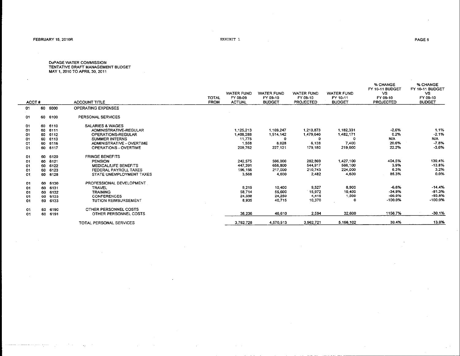where  $\alpha$  is a second conjugate and  $\alpha$ 

 $\sim 10$ 

 $\mathcal{L}_{\mathcal{F}}$  .

EXHIBIT 1

DuPAGE WATER COMMISSION<br>TENTATIVE DRAFT MANAGEMENT BUDGET<br>MAY 1, 2010 TO APRIL 30, 2011

| <b>OPERATING EXPENSES</b><br>60 6000<br>01<br>PERSONAL SERVICES<br>01<br>60 6100<br>SALARIES & WAGES<br>60 6110<br>01<br>1,213,873<br>1,182,331<br>ADMINISTRATIVE-REGULAR<br>1.125,213<br>1,169,247<br>60<br>6111<br>01<br>1,482,171<br>1,408,288<br>1,514,142<br>1,479,640<br>6112<br><b>OPERATIONS-REGULAR</b><br>60.<br>01<br>11,775<br>6113<br><b>SUMMER INTERNS</b><br>n<br>60<br>0<br>01<br>7,400<br>1.558<br>6,138<br>ADMINISTRATIVE - OVERTIME<br>8,028<br>6116<br>60<br>01<br>209,762<br>227,121<br>219,000<br>179.180<br>6117<br>OPERATIONS - OVERTIME<br>60<br>01<br><b>FRINGE BENEFITS</b><br>60 6120<br>01<br>596,000<br>282.869<br>1.427,100<br>242.575<br>PENSION<br>6121<br>60<br>01<br>447,391<br>656,800<br>544,917<br>566,100<br>MEDICAL/LIFE BENEFITS<br>6122<br>60<br>01<br>224,000<br>217.000<br>210.743<br>196,156<br>6123<br>FEDERAL PAYROLL TAXES<br>60<br>01<br>2.482<br>4,600<br>3,568<br>4.600<br>6128<br>STATE UNEMPLOYMENT TAXES<br>GD.<br>01<br>PROFESSIONAL DEVELOPMENT<br>60 6130<br>01<br>9,527<br>8,219<br>8,900<br>10,400<br>TRAVEL<br>60 6131<br>01<br>10,400<br>58,714<br>15,972<br>55,600<br><b>TRAINING</b><br>6132<br>60<br>01<br>1,500<br>24,250<br>4.416<br>24,338<br>6133<br><b>CONFERENCES</b><br>60<br>01<br>8,935<br>10,370<br>40.715<br>0<br>TUTION REIMBURSEMENT<br>60<br>6133<br>01<br>60.<br>6190<br>01 | <b>ACCOUNT TITLE</b>  | <b>TOTAL</b><br><b>FROM</b> | <b>WATER FUND</b><br>FY 08-09<br><b>ACTUAL</b> | <b>WATER FUND</b><br>FY 09-10<br><b>BUDGET</b> | <b>WATER FUND</b><br>FY 09-10<br><b>PROJECTED</b> | <b>WATER FUND</b><br>FY 10-11<br><b>BUDGET</b> | % CHANGE<br>FY 10-11 BUDGET<br>VS.<br>FY 09-10<br><b>PROJECTED</b> | % CHANGE<br>FY 10-11 BUDGET<br>VS.<br>FY 09-10<br><b>BUDGET</b> |
|------------------------------------------------------------------------------------------------------------------------------------------------------------------------------------------------------------------------------------------------------------------------------------------------------------------------------------------------------------------------------------------------------------------------------------------------------------------------------------------------------------------------------------------------------------------------------------------------------------------------------------------------------------------------------------------------------------------------------------------------------------------------------------------------------------------------------------------------------------------------------------------------------------------------------------------------------------------------------------------------------------------------------------------------------------------------------------------------------------------------------------------------------------------------------------------------------------------------------------------------------------------------------------------------------------------------------------------------------------|-----------------------|-----------------------------|------------------------------------------------|------------------------------------------------|---------------------------------------------------|------------------------------------------------|--------------------------------------------------------------------|-----------------------------------------------------------------|
|                                                                                                                                                                                                                                                                                                                                                                                                                                                                                                                                                                                                                                                                                                                                                                                                                                                                                                                                                                                                                                                                                                                                                                                                                                                                                                                                                            |                       |                             |                                                |                                                |                                                   |                                                |                                                                    |                                                                 |
|                                                                                                                                                                                                                                                                                                                                                                                                                                                                                                                                                                                                                                                                                                                                                                                                                                                                                                                                                                                                                                                                                                                                                                                                                                                                                                                                                            |                       |                             |                                                |                                                |                                                   |                                                |                                                                    |                                                                 |
|                                                                                                                                                                                                                                                                                                                                                                                                                                                                                                                                                                                                                                                                                                                                                                                                                                                                                                                                                                                                                                                                                                                                                                                                                                                                                                                                                            |                       |                             |                                                |                                                |                                                   |                                                |                                                                    |                                                                 |
|                                                                                                                                                                                                                                                                                                                                                                                                                                                                                                                                                                                                                                                                                                                                                                                                                                                                                                                                                                                                                                                                                                                                                                                                                                                                                                                                                            |                       |                             |                                                |                                                |                                                   |                                                |                                                                    |                                                                 |
|                                                                                                                                                                                                                                                                                                                                                                                                                                                                                                                                                                                                                                                                                                                                                                                                                                                                                                                                                                                                                                                                                                                                                                                                                                                                                                                                                            |                       |                             |                                                |                                                |                                                   |                                                | $-2.6%$                                                            | 1.1%                                                            |
|                                                                                                                                                                                                                                                                                                                                                                                                                                                                                                                                                                                                                                                                                                                                                                                                                                                                                                                                                                                                                                                                                                                                                                                                                                                                                                                                                            |                       |                             |                                                |                                                |                                                   |                                                | 0.2%                                                               | $-2.1%$                                                         |
|                                                                                                                                                                                                                                                                                                                                                                                                                                                                                                                                                                                                                                                                                                                                                                                                                                                                                                                                                                                                                                                                                                                                                                                                                                                                                                                                                            |                       |                             |                                                |                                                |                                                   |                                                | N/A                                                                | N/A                                                             |
|                                                                                                                                                                                                                                                                                                                                                                                                                                                                                                                                                                                                                                                                                                                                                                                                                                                                                                                                                                                                                                                                                                                                                                                                                                                                                                                                                            |                       |                             |                                                |                                                |                                                   |                                                | 20.6%                                                              | $-7.8%$                                                         |
|                                                                                                                                                                                                                                                                                                                                                                                                                                                                                                                                                                                                                                                                                                                                                                                                                                                                                                                                                                                                                                                                                                                                                                                                                                                                                                                                                            |                       |                             |                                                |                                                |                                                   |                                                | 22.2%                                                              | $-3.6%$                                                         |
|                                                                                                                                                                                                                                                                                                                                                                                                                                                                                                                                                                                                                                                                                                                                                                                                                                                                                                                                                                                                                                                                                                                                                                                                                                                                                                                                                            |                       |                             |                                                |                                                |                                                   |                                                |                                                                    |                                                                 |
|                                                                                                                                                                                                                                                                                                                                                                                                                                                                                                                                                                                                                                                                                                                                                                                                                                                                                                                                                                                                                                                                                                                                                                                                                                                                                                                                                            |                       |                             |                                                |                                                |                                                   |                                                | 404.5%                                                             | 139.4%                                                          |
|                                                                                                                                                                                                                                                                                                                                                                                                                                                                                                                                                                                                                                                                                                                                                                                                                                                                                                                                                                                                                                                                                                                                                                                                                                                                                                                                                            |                       |                             |                                                |                                                |                                                   |                                                | 3.9%                                                               | $-13.8%$                                                        |
|                                                                                                                                                                                                                                                                                                                                                                                                                                                                                                                                                                                                                                                                                                                                                                                                                                                                                                                                                                                                                                                                                                                                                                                                                                                                                                                                                            |                       |                             |                                                |                                                |                                                   |                                                | 6.3%                                                               | 3.2%                                                            |
|                                                                                                                                                                                                                                                                                                                                                                                                                                                                                                                                                                                                                                                                                                                                                                                                                                                                                                                                                                                                                                                                                                                                                                                                                                                                                                                                                            |                       |                             |                                                |                                                |                                                   |                                                | 85.3%                                                              | 0.0%                                                            |
|                                                                                                                                                                                                                                                                                                                                                                                                                                                                                                                                                                                                                                                                                                                                                                                                                                                                                                                                                                                                                                                                                                                                                                                                                                                                                                                                                            |                       |                             |                                                |                                                |                                                   |                                                |                                                                    |                                                                 |
|                                                                                                                                                                                                                                                                                                                                                                                                                                                                                                                                                                                                                                                                                                                                                                                                                                                                                                                                                                                                                                                                                                                                                                                                                                                                                                                                                            |                       |                             |                                                |                                                |                                                   |                                                | $-6.6%$                                                            | $-14.4%$                                                        |
|                                                                                                                                                                                                                                                                                                                                                                                                                                                                                                                                                                                                                                                                                                                                                                                                                                                                                                                                                                                                                                                                                                                                                                                                                                                                                                                                                            |                       |                             |                                                |                                                |                                                   |                                                | $-34.9%$                                                           | $-81.3%$                                                        |
|                                                                                                                                                                                                                                                                                                                                                                                                                                                                                                                                                                                                                                                                                                                                                                                                                                                                                                                                                                                                                                                                                                                                                                                                                                                                                                                                                            |                       |                             |                                                |                                                |                                                   |                                                | $-66.0%$                                                           | $-93.8%$                                                        |
|                                                                                                                                                                                                                                                                                                                                                                                                                                                                                                                                                                                                                                                                                                                                                                                                                                                                                                                                                                                                                                                                                                                                                                                                                                                                                                                                                            |                       |                             |                                                |                                                |                                                   |                                                | $-100.0%$                                                          | $-100.0%$                                                       |
|                                                                                                                                                                                                                                                                                                                                                                                                                                                                                                                                                                                                                                                                                                                                                                                                                                                                                                                                                                                                                                                                                                                                                                                                                                                                                                                                                            | OTHER PERSONNEL COSTS |                             |                                                |                                                |                                                   |                                                |                                                                    |                                                                 |
| 2,594<br>32,600<br>36,236<br>46,610<br>OTHER PERSONNEL COSTS<br>60 6191<br>01                                                                                                                                                                                                                                                                                                                                                                                                                                                                                                                                                                                                                                                                                                                                                                                                                                                                                                                                                                                                                                                                                                                                                                                                                                                                              |                       |                             |                                                |                                                |                                                   |                                                | 1156.7%                                                            | $-30.1%$                                                        |
| 5.166.102<br>3,962,721<br>3.782.728<br>4,570,513<br>TOTAL PERSONAL SERVICES                                                                                                                                                                                                                                                                                                                                                                                                                                                                                                                                                                                                                                                                                                                                                                                                                                                                                                                                                                                                                                                                                                                                                                                                                                                                                |                       |                             |                                                |                                                |                                                   |                                                | 30.4%                                                              | 13.0%                                                           |

 $\sim 10^{-1}$  km  $^{-1}$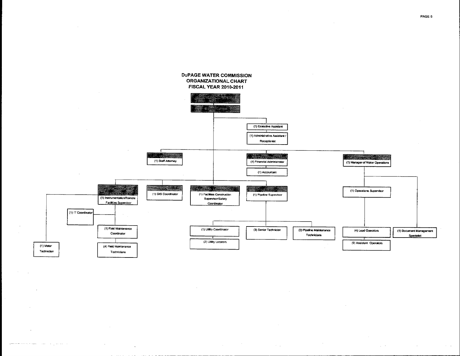

بمارده ومناوره

وسروا فالردو للمحا

PAGE 6

 $\mathcal{L}^{\mathcal{L}}$  and  $\mathcal{L}^{\mathcal{L}}$ 

**Service**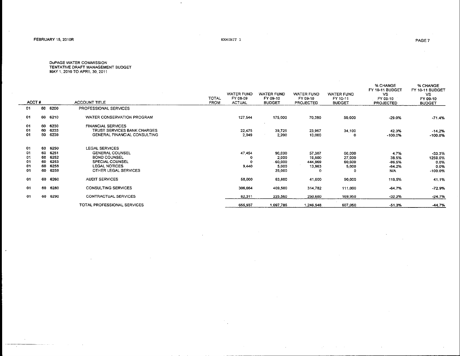$\sim$   $\sim$ 

 $\alpha$ 

المدامة والمحد

 $\ast$ 

DUPAGE WATER COMMISSION<br>TENTATIVE DRAFT MANAGEMENT BUDGET<br>MAY 1, 2010 TO APRIL 30, 2011

|    | ACCT# |         | ACCOUNT TITLE                | TOTAL<br><b>FROM</b> | WATER FUND<br>FY 08-09<br><b>ACTUAL</b> | WATER FUND<br>FY 09-10<br><b>BUDGET</b> | WATER FUND<br>FY 09-10<br>PROJECTED | <b>WATER FUND</b><br>FY 10-11<br><b>BUDGET</b> | % CHANGE<br>FY 10-11 BUDGET<br>VS.<br>FY 09-10<br><b>PROJECTED</b> | % CHANGE<br>FY 10-11 BUDGET<br>VS.<br>FY 09-10<br><b>BUDGET</b> |
|----|-------|---------|------------------------------|----------------------|-----------------------------------------|-----------------------------------------|-------------------------------------|------------------------------------------------|--------------------------------------------------------------------|-----------------------------------------------------------------|
| 01 |       | 60 6200 | PROFESSIONAL SERVICES        |                      |                                         |                                         |                                     |                                                |                                                                    |                                                                 |
| 01 |       | 60 6210 | WATER CONSERVATION PROGRAM   |                      | 127,544                                 | 175,000                                 | 70,380                              | 50,000                                         | $-29.0%$                                                           | $-71.4%$                                                        |
| 01 | 60    | 6230    | <b>FINANCIAL SERVICES</b>    |                      |                                         |                                         |                                     |                                                |                                                                    |                                                                 |
| 01 | 60    | 6233    | TRUST SERVICES BANK CHARGES  |                      | 22,475                                  | 39,725                                  | 23,967                              | 34,100                                         | 42.3%                                                              | $-14.2%$                                                        |
| 01 | 60    | 6239    | GENERAL FINANCIAL CONSULTING |                      | 2,049                                   | 2,200                                   | 10,000                              | n                                              | $-100.0%$                                                          | $-100.0\%$                                                      |
| 01 | 60    | 6250    | <b>LEGAL SERVICES</b>        |                      |                                         |                                         |                                     |                                                |                                                                    |                                                                 |
| 01 | 60    | 6251    | <b>GENERAL COUNSEL</b>       |                      | 47,454                                  | 90,000                                  | 57,307                              | 60,000                                         | 4,7%                                                               | $-33.3%$                                                        |
| 01 | 60    | 6252    | <b>BOND COUNSEL</b>          |                      |                                         | 2,000                                   | 19,500                              | 27,000                                         | 38.5%                                                              | 1250.0%                                                         |
| 01 | 60    | 6253    | SPECIAL COUNSEL              |                      |                                         | 60,000                                  | 444,969                             | 60,000                                         | -86.5%                                                             | 0.0%                                                            |
| 01 | 60    | 6258    | <b>LEGAL NOTICES</b>         |                      | 9,440                                   | 5,000                                   | 13,963                              | 5,000                                          | $-64.2%$                                                           | 0.0%                                                            |
| 01 | 60    | 6259    | OTHER LEGAL SERVICES         |                      |                                         | 25,000                                  | 0                                   | o                                              | N/A.                                                               | $-100.0%$                                                       |
| 01 | 60    | 6260    | <b>AUDIT SERVICES</b>        |                      | 58,000                                  | 63,800                                  | 41,000                              | 90,000                                         | 119,5%                                                             | 41.1%                                                           |
| 01 |       | 60 6280 | <b>CONSULTING SERVICES</b>   |                      | 306,664                                 | 409,500                                 | 314,782                             | 111,000                                        | $-64.7%$                                                           | $-72.9%$                                                        |
| 01 | 60    | 6290    | CONTRACTUAL SERVICES         |                      | 82,311                                  | 225,560                                 | 250,680                             | 169,950                                        | $-32.2%$                                                           | $-24.7%$                                                        |
|    |       |         | TOTAL PROFESSIONAL SERVICES  |                      | 655,937                                 | 1 097,785                               | 1,246,548                           | 607,050                                        | $-51.3%$                                                           | -44.7%                                                          |

**Contract**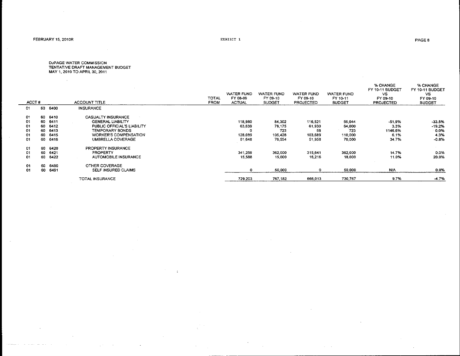$\sim$   $\sim$ 

 $\sim$ 

 $\sim$  as a mapping

EXHIBIT 1

 $\sim 10^{-1}$ 

 $\sim$ 

and a series and support

| ACCT# |    |      | <b>ACCOUNT TITLE</b>         | TOTAL<br><b>FROM</b> | <b>WATER FUND</b><br>FY 08-09<br><b>ACTUAL</b> | <b>WATER FUND</b><br>FY 09-10<br><b>BUDGET</b> | <b>WATER FUND</b><br>FY 09-10<br><b>PROJECTED</b> | <b>WATER FUND</b><br>FY 10-11<br><b>BUDGET</b> | % CHANGE<br>FY 10-11 BUDGET<br>VS.<br>FY 09-10<br><b>PROJECTED</b> | % CHANGE<br>FY 10-11 BUDGET<br>VS.<br>FY 09-10<br><b>BUDGET</b> |
|-------|----|------|------------------------------|----------------------|------------------------------------------------|------------------------------------------------|---------------------------------------------------|------------------------------------------------|--------------------------------------------------------------------|-----------------------------------------------------------------|
| 01    | 60 | 6400 | <b>INSURANCE</b>             |                      |                                                |                                                |                                                   |                                                |                                                                    |                                                                 |
| -01   | 60 | 6410 | CASUALTY INSURANCE           |                      |                                                |                                                |                                                   |                                                |                                                                    |                                                                 |
| 01    | 60 | 6411 | <b>GENERAL LIABILITY</b>     |                      | 118,980                                        | 84.302                                         | 116.521                                           | 56.044                                         | $-51.9%$                                                           | $-33.5%$                                                        |
| 01    | 60 | 6412 | PUBLIC OFFICIAL'S LIABILITY  |                      | 63,639                                         | 79,175                                         | 61,930                                            | 64,000                                         | 3.3%                                                               | $-19.2%$                                                        |
| 01    | 60 | 6413 | TEMPORARY BONDS              |                      |                                                | 723                                            | 58                                                | 723                                            | 1146.6%                                                            | $-0.0\%$                                                        |
| 01    | 60 | 6415 | <b>WORKER'S COMPENSATION</b> |                      | 128,089                                        | 105,428                                        | 103,689                                           | 110,000                                        | 6.1%                                                               | 4.3%                                                            |
| 01    | 60 | 6416 | UMBRELLA COVERAGE            |                      | 61,648                                         | 70.554                                         | 51,958                                            | 70,000                                         | 34.7%                                                              | $-0.8%$                                                         |
| 01    | 60 | 6420 | PROPERTY INSURANCE           |                      |                                                |                                                |                                                   |                                                |                                                                    |                                                                 |
| 01    | 60 | 6421 | <b>PROPERTY</b>              |                      | 341,259                                        | 362,000                                        | 315,641                                           | 362,000                                        | 14.7%                                                              | 0.0%                                                            |
| 01    | 60 | 6422 | AUTOMOBILE INSURANCE         |                      | 15.588                                         | 15,000                                         | 16.216                                            | 18,000                                         | 11.0%                                                              | 20.0%                                                           |
| 01    | 60 | 6490 | OTHER COVERAGE               |                      |                                                |                                                |                                                   |                                                |                                                                    |                                                                 |
| 01    | 60 | 6491 | SELF INSURED CLAIMS          |                      | 0                                              | 50,000                                         | 0                                                 | 50,000                                         | <b>N/A</b>                                                         | 0.0%                                                            |
|       |    |      | TOTAL INSURANCE              |                      | 729.203                                        | 767,182                                        | 666,013                                           | 730.767                                        | 9.7%                                                               | $-4.7%$                                                         |
|       |    |      |                              |                      |                                                |                                                |                                                   |                                                |                                                                    |                                                                 |

 $\alpha$  and  $\alpha$ 

 $\pm$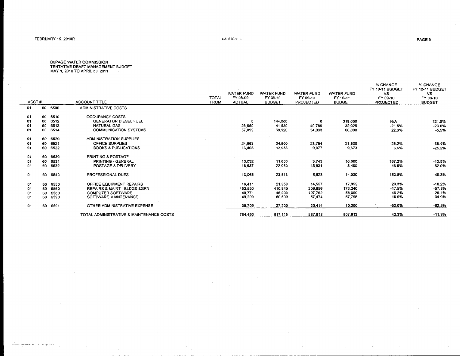and a company

 $\sim$  100  $\sim$  100  $\sim$  100  $\sim$  $\overline{\phantom{a}}$  EXHIBIT 1

D∪PAGE WATER COMMISSION<br>TENTATIVE DRAFT MANAGEMENT BUDGET<br>MAY 1, 2010 TO APRIL 30, 2011

| ACCT# |     |         | <b>ACCOUNT TITLE</b>                     | <b>TOTAL</b><br>FROM | WATER FUND<br>FY 08-09<br><b>ACTUAL</b> | <b>WATER FUND</b><br>FY 09-10<br><b>BUDGET</b> | <b>WATER FUND</b><br>FY 09-10<br><b>PROJECTED</b> | WATER FUND<br>FY 10-11<br><b>BUDGET</b> | % CHANGE<br>FY 10-11 BUDGET<br>VS.<br>FY 09-10<br><b>PROJECTED</b> | % CHANGE<br>FY 10-11 BUDGET<br><b>VS</b><br>FY 09-10<br><b>BUDGET</b> |
|-------|-----|---------|------------------------------------------|----------------------|-----------------------------------------|------------------------------------------------|---------------------------------------------------|-----------------------------------------|--------------------------------------------------------------------|-----------------------------------------------------------------------|
| 01    | 60. | 6500    | ADMINISTRATIVE COSTS                     |                      |                                         |                                                |                                                   |                                         |                                                                    |                                                                       |
|       |     |         |                                          |                      |                                         |                                                |                                                   |                                         |                                                                    |                                                                       |
| 01    | 60  | 6510    | <b>OCCUPANCY COSTS</b>                   |                      |                                         |                                                |                                                   |                                         |                                                                    |                                                                       |
| -01   | 60  | 6512    | <b>GENERATOR DIESEL FUEL</b>             |                      | ٥                                       | 144,000                                        | 0                                                 | 319,000                                 | N/A                                                                | 121.5%                                                                |
| 01    | 60  | 6513    | <b>NATURAL GAS</b>                       |                      | 25,650                                  | 41,580                                         | 40,789                                            | 32,025                                  | $-21.5%$                                                           | $-23.0%$                                                              |
| 01    | 60  | 6514    | <b>COMMUNICATION SYSTEMS</b>             |                      | 57,099                                  | 69.920                                         | 54.033                                            | 66.098                                  | 22.3%                                                              | $-5.5%$                                                               |
| 01    | 60  | 6520    | ADMINISTRATION SUPPLIES                  |                      |                                         |                                                |                                                   |                                         |                                                                    |                                                                       |
| -01   | 60  | 6521    | OFFICE SUPPLIES                          |                      | 24,963                                  | 34,900                                         | 28,754                                            | 21,500                                  | $-25.2%$                                                           | $-38.4%$                                                              |
| 01    | 60  | 6522    | <b>BOOKS &amp; PUBLICATIONS</b>          |                      | 13,403                                  | 12.933                                         | 9.077                                             | 9.673                                   | 6.6%                                                               | $-25.2%$                                                              |
| 01    | 60. | 6530    | <b>PRINTING &amp; POSTAGE</b>            |                      |                                         |                                                |                                                   |                                         |                                                                    |                                                                       |
| 01    | 60  | 6531    | PRINTING - GENERAL                       |                      | 13,032                                  | 11,600                                         | 3,743                                             | 10,000                                  | 167.2%                                                             | $-13.8%$                                                              |
| 01    | 60  | 6532    | POSTAGE & DELIVERY                       |                      | 18,637                                  | 22,080                                         | 15,831                                            | 8,400                                   | -46.9%                                                             | $-62.0%$                                                              |
| 01    | 60  | 6540    | PROFESSIONAL DUES                        |                      | 13,065                                  | 23,513                                         | 5,528                                             | 14,030                                  | 153.8%<br><b>Carl Carl</b>                                         | $-40.3%$                                                              |
| 01    |     | 60 6550 | OFFICE EQUIPMENT REPAIRS                 |                      | 16.411                                  | 21.959                                         | 14.557                                            | 17.952                                  | 23.3%                                                              | $-18.2%$                                                              |
| 01    | 60  | 6560    | REPAIRS & MAINT - BLDGS &GRN             |                      | 452,550                                 | 410,840                                        | 209,956                                           | 173,240                                 | $-17.5%$                                                           | $-57.8%$                                                              |
| 01    | 60  | 6580    | <b>COMPUTER SOFTWARE</b>                 |                      | 40.771                                  | 46,000                                         | 107.762                                           | 58,000                                  | -46.2%                                                             | 26.1%                                                                 |
| 01    | 60. | 6590    | SOFTWARE MAINTENANCE                     |                      | 49,200                                  | 50,590                                         | 57.474                                            | 67,795                                  | 18.0%                                                              | 34.0%                                                                 |
| 01    | 60  | 6591    | OTHER ADMINISTRATIVE EXPENSE             |                      | 39.709                                  | 27,200                                         | 20,414                                            | 10.200                                  | -50.0%                                                             | $-62.5%$                                                              |
|       |     |         | TOTAL ADMINISTRATIVE & MAINTENANCE COSTS |                      | 764,490                                 | 917.115                                        | 567.918                                           | 807,913                                 | 42.3%                                                              | $-11.9%$                                                              |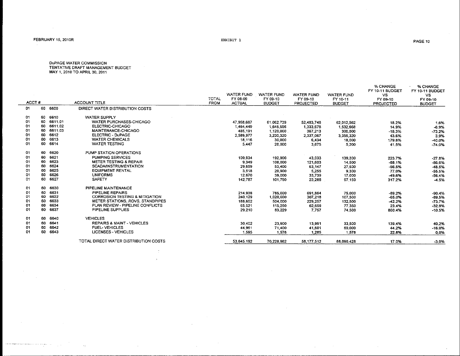$\sim 10^{-1}$ 

where the implicit product process is a single parameter  $\hat{f}_{\rm{max}}$  ,  $\hat{f}_{\rm{max}}$  ,  $\hat{f}_{\rm{max}}$ 

 $\langle \sigma_{\rm{D}} \rangle$ 

EXHIBIT 1

 $\mathcal{L}_{\mathcal{A}}$ 

D∪PAGE WATER COMMISSION<br>TENTATIVE DRAFT MANAGEMENT BUDGET<br>MAY 1, 2010 TO APRIL 30, 2011

|       |     |         |                                           | <b>TOTAL</b> | WATER FUND<br>FY 08-09 | <b>WATER FUND</b><br>FY 09-10 | <b>WATER FUND</b><br>FY 09-10 | <b>WATER FUND</b><br>FY 10-11 | % CHANGE<br>FY 10-11 BUDGET<br><b>VS</b><br>FY 09-10 | % CHANGE<br>FY 10-11 BUDGET<br>VS.<br>FY 09-10 |
|-------|-----|---------|-------------------------------------------|--------------|------------------------|-------------------------------|-------------------------------|-------------------------------|------------------------------------------------------|------------------------------------------------|
| ACCT# |     |         | <b>ACCOUNT TITLE</b>                      | <b>FROM</b>  | <b>ACTUAL</b>          | <b>BUDGET</b>                 | <b>PROJECTED</b>              | <b>BUDGET</b>                 | <b>PROJECTED</b>                                     | <b>BUDGET</b>                                  |
| 01    | 60  | 6600    | DIRECT WATER DISTRIBUTION COSTS           |              |                        |                               |                               |                               |                                                      |                                                |
| 01    | 60  | 6610    | <b>WATER SUPPLY</b>                       |              |                        |                               |                               |                               |                                                      |                                                |
| 01    | 60  | 6611.01 | WATER PURCHASES-CHICAGO                   |              | 47,958,687             | 61,062,739                    | 52,483,748                    | 62.012.562                    | 18.2%                                                | 1.6%                                           |
| 01    | 60  | 6611.02 | ELECTRIC-CHICAGO                          |              | 1,464,449              | 1,645,596                     | 1,333,678                     | 1,532,668                     | 14.9%                                                | $-6.9%$                                        |
| 01    | 60. | 6611.03 | MAINTENANCE-CHICAGO                       |              | 485,191                | 1,120,000                     | 367,213                       | 300,000                       | $-18.3%$                                             | $-73.2%$                                       |
| 01    | 60  | 6612    | <b>ELECTRIC - DuPAGE</b>                  |              | 2,589,977              | 3,230,320                     | 2,337,067                     | 3,355,320                     | 43.6%                                                | 3.9%                                           |
| 01    | 60  | 6613    | <b>WATER CHEMICALS</b>                    |              | 18,116                 | 30,000                        | 6,434                         | 18,000                        | 179.8%                                               | $-40.0%$                                       |
| 01    | 60  | 6614    | <b>WATER TESTING</b>                      |              | 5,447                  | 20,000                        | 3.675                         | 5,200                         | 41.5%                                                | $-74.0%$                                       |
| 01.   | 60  | 6620    | PUMP STATION OPERATIONS                   |              |                        |                               |                               |                               |                                                      |                                                |
| 01    | 60  | 6621    | <b>PUMPING SERVICES</b>                   |              | 109,934                | 192,900                       | 43,033                        | 139,300                       | 223.7%                                               | $-27.8%$                                       |
| 01    | 60  | 6623    | <b>METER TESTING &amp; REPAIR</b>         |              | 9.349                  | 108,000                       | 121,603                       | 14,500                        | $-88.1%$                                             | $-86.6%$                                       |
| 01    | 60  | 6624    | <b>SCADA/INSTRUMENTATION</b>              |              | 29,659                 | 53,400                        | 63,147                        | 27,500                        | $-56.5%$                                             | -48.5%                                         |
| 01    | 60  | 6625    | <b>EQUIPMENT RENTAL</b>                   |              | 3,518                  | 20,900                        | 5.255                         | 9,300                         | 77.0%                                                | $-55.5%$                                       |
| 01    | 60  | 6626    | <b>UNIFORMS</b>                           |              | 12,670                 | 39,000                        | 33,739                        | 17,000                        | -49.6%                                               | $-56.4%$                                       |
| 01    | 60  | 6627    | <b>SAFETY</b>                             |              | 142,787                | 101,750                       | 23,288                        | 97.150                        | 317.2%                                               | -4.5%                                          |
| 01    | 60. | 6630    | PIPELINE MAINTENANCE                      |              |                        |                               |                               |                               |                                                      |                                                |
| 01    | 60  | 6631    | PIPELINE REPAIRS                          |              | 214,938                | 785,000                       | 691,864                       | 75,000                        | $-89.2%$                                             | $-90.4%$                                       |
| 01    | -60 | 6632    | <b>CORROSION TESTING &amp; MITIGATION</b> |              | 240,129                | 1,020,000                     | 307.218                       | 107,500                       | $-65.0%$                                             | -89.5%                                         |
| 01    | 60  | 6633    | METER STATIONS, ROVS, STANDPIPES          |              | 188,652                | 504.000                       | 229,257                       | 132,500                       | $-42.2%$                                             | $-73.7%$                                       |
| 01    | 60  | 6634    | PLAN REVIEW - PIPELINE CONFLICTS          |              | 65.521                 | 115,250                       | 62,659                        | 77,350                        | 23.4%                                                | $-32.9%$                                       |
| 01    | 60  | 6637    | PIPELINE SUPPLIES                         |              | 29,210                 | 83.229                        | 7.757                         | 74,500                        | 860.4%                                               | $-10,5%$                                       |
| 01    |     | 60 6640 | <b>VEHICLES</b>                           |              |                        |                               |                               |                               |                                                      |                                                |
| 01    | 60  | 6641    | <b>REPAIRS &amp; MAINT - VEHICLES</b>     |              | 30,402                 | 23,900                        | 13.991                        | 33,500                        | 139.4%                                               | 40.2%                                          |
| 01    | 60  | 6642    | FUEL-VEHICLES                             |              | 44,961                 | 71,400                        | 41,601                        | 60,000                        | 44.2%                                                | $-16.0%$                                       |
| 01    | 60. | 6643    | <b>LICENSES - VEHICLES</b>                |              | 1,595                  | 1.578                         | 1.285                         | 1,578                         | 22.8%                                                | 0.0%                                           |
|       |     |         | TOTAL DIRECT WATER DISTRIBUTION COSTS     |              | 53,645,192             | 70,228,962                    | 58, 177, 512                  | 68.090.428                    | 17.0%                                                | $-3.0%$                                        |
|       |     |         |                                           |              |                        |                               |                               |                               |                                                      |                                                |

 $\sim 10^{-1}$ 

 $\overline{z}$  $\sim$ 

 $\sim$ 

 $\sim 10$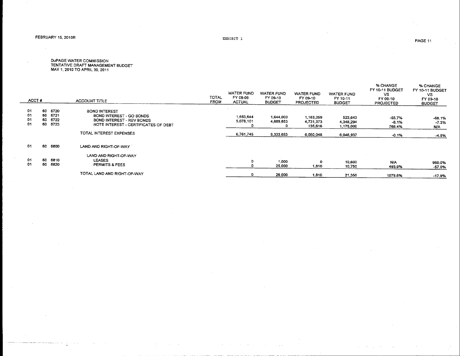$\sim$ 

EXHIBIT 1

D⊍PAGE WATER COMMISSION<br>TENTATIVE DRAFT MANAGEMENT BUDGET<br>MAY 1, 2010 TO APRIL 30, 2011

| ACCT#                |                                                      |              | <b>ACCOUNT TITLE</b>                                                                                                  | TOTAL<br><b>FROM</b> | WATER FUND<br>FY 08-09<br><b>ACTUAL</b> | WATER FUND<br>FY 09-10<br><b>BUDGET</b> | <b>WATER FUND</b><br>FY 09-10<br><b>PROJECTED</b> | <b>WATER FUND</b><br>FY 10-11<br><b>BUDGET</b> | <b>% CHANGE</b><br>FY 10-11 BUDGET<br>VS.<br>FY 09-10<br><b>PROJECTED</b> | % CHANGE<br>FY 10-11 BUDGET<br>VS.<br>FY 09-10<br><b>BUDGET</b> |
|----------------------|------------------------------------------------------|--------------|-----------------------------------------------------------------------------------------------------------------------|----------------------|-----------------------------------------|-----------------------------------------|---------------------------------------------------|------------------------------------------------|---------------------------------------------------------------------------|-----------------------------------------------------------------|
| 01<br>01<br>01<br>01 | 6720<br>60<br>6721<br>60<br>6722<br>60<br>6723<br>60 |              | <b>BOND INTEREST</b><br>BOND INTEREST - GO BONDS<br>BOND INTEREST - REV BONDS<br>NOTE INTEREST - CERTIFICATES OF DEBT |                      | 1,683,644<br>5,078,101                  | 1,644,000<br>4,689,653                  | 1,183,059<br>4,731,373<br>135,616                 | 523,643<br>4.348.294<br>1,175,000              | $-55.7%$<br>$-8.1%$<br>766.4%                                             | -68.1%<br>$-7.3%$<br>N/A                                        |
|                      |                                                      |              | TOTAL INTEREST EXPENSES                                                                                               |                      | 6.761.745                               | 6,333,653                               | 6,050,048                                         | 6,046,937                                      | $-0.1%$                                                                   | $-4.5%$                                                         |
| 01                   | 60                                                   | 6800         | LAND AND RIGHT-OF-WAY                                                                                                 |                      |                                         |                                         |                                                   |                                                |                                                                           |                                                                 |
| -01<br>01            | 60<br>60                                             | 6810<br>6820 | LAND AND RIGHT-OF-WAY<br><b>LEASES</b><br>PERMITS & FEES                                                              |                      | o                                       | 1,000<br>25,000                         | 1,810                                             | 10,600<br>10,750                               | N/A<br>493.9%                                                             | 960.0%<br>$-57.0%$                                              |
|                      |                                                      |              | TOTAL LAND AND RIGHT-OF-WAY                                                                                           |                      | $\bullet$                               | 26,000                                  | 1,810                                             | 21,350                                         | 1079.6%                                                                   | $-17.9%$                                                        |

ساسا والمحافظ المعا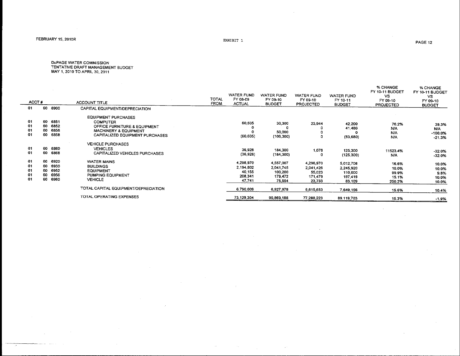EXHIBIT 1

DuPAGE WATER COMMISSION<br>TENTATIVE DRAFT MANAGEMENT BUDGET<br>MAY 1, 2010 TO APRIL 30, 2011

| ACCT# |    |      | <b>ACCOUNT TITLE</b>                 | TOTAL<br><b>FROM</b> | <b>WATER FUND</b><br>FY 08-09<br><b>ACTUAL</b> | <b>WATER FUND</b><br>FY 09-10<br><b>BUDGET</b> | WATER FUND<br>FY 09-10<br><b>PROJECTED</b> | WATER FUND<br>FY 10-11<br><b>BUDGET</b> | % CHANGE<br>FY 10-11 BUDGET<br>VS<br>FY 09-10<br><b>PROJECTED</b> | % CHANGE<br>FY 10-11 BUDGET<br>vs.<br>FY 09-10<br><b>BUDGET</b> |
|-------|----|------|--------------------------------------|----------------------|------------------------------------------------|------------------------------------------------|--------------------------------------------|-----------------------------------------|-------------------------------------------------------------------|-----------------------------------------------------------------|
| 01    | 60 | 6900 | CAPITAL EQUIPMENT/DEPRECIATION       |                      |                                                |                                                |                                            |                                         |                                                                   |                                                                 |
|       |    |      | <b>EQUIPMENT PURCHASES</b>           |                      |                                                |                                                |                                            |                                         |                                                                   |                                                                 |
| 01    | 60 | 6851 | <b>COMPUTER</b>                      |                      |                                                |                                                |                                            |                                         |                                                                   |                                                                 |
| 01    | 60 | 6852 | OFFICE FURNITURE & EQUIPMENT         |                      | 60,605                                         | 30,300                                         | 23,944                                     | 42,200                                  | 76.2%                                                             | 39.3%                                                           |
| 01    | 60 | 6856 |                                      |                      |                                                |                                                |                                            | 41,480                                  | N/A                                                               | N/A.                                                            |
| 01    | 60 | 6858 | <b>MACHINERY &amp; EQUIPMENT</b>     |                      |                                                | 50,000                                         |                                            |                                         | N/A                                                               | -100.0%                                                         |
|       |    |      | CAPITALIZED EQUIPMENT PURCHASES      |                      | (60, 605)                                      | (106, 300)                                     |                                            | (83,680)                                | <b>N/A</b>                                                        | $-21.3%$                                                        |
|       |    |      | <b>VEHICLE PURCHASES</b>             |                      |                                                |                                                |                                            |                                         |                                                                   |                                                                 |
| 01    | 60 | 6860 | <b>VEHICLES</b>                      |                      | 36,928                                         | 184,300                                        |                                            |                                         |                                                                   |                                                                 |
| 01    | 60 | 6868 | CAPITALIZED VEHICLES PURCHASES       |                      | (36, 928)                                      |                                                | 1,078                                      | 125,300                                 | 11523.4%                                                          | $-32.0%$                                                        |
|       |    |      |                                      |                      |                                                | (184, 300)                                     | 0                                          | (125, 300)                              | N/A                                                               | $-32.0%$                                                        |
| 01.   | 60 | 6920 | <b>WATER MAINS</b>                   |                      | 4,298,970                                      | 4,557,007                                      | 4,298,970                                  | 5,012,708                               | 16.6%                                                             | 10.0%                                                           |
| 01    | 60 | 6930 | <b>BUILDINGS</b>                     |                      | 2,194,802                                      | 2,041,745                                      | 2,041,426                                  | 2,245,920                               | 10.0%                                                             | 10.0%                                                           |
| 01    | 60 | 6952 | <b>EQUIPMENT</b>                     |                      | 40.155                                         | 100,200                                        | 55,023                                     | 110,000                                 | 99.9%                                                             |                                                                 |
| 01    | 60 | 6956 | PUMPING EQUIPMENT                    |                      | 208,341                                        | 179.472                                        | 171.479                                    | 197.419                                 |                                                                   | 9.8%                                                            |
| 01    | 60 | 6960 | <b>VEHICLE</b>                       |                      | 47,741                                         | 75,554                                         | 23,733                                     |                                         | 15.1%                                                             | 10.0%                                                           |
|       |    |      |                                      |                      |                                                |                                                |                                            | 83,109                                  | 250.2%                                                            | 10.0%                                                           |
|       |    |      | TOTAL CAPITAL EQUIPMENT/DEPRECIATION |                      | 6,790,009                                      | 6,927,978                                      | 6,615,653                                  | 7,649,156                               | 15.6%                                                             | 10.4%                                                           |
|       |    |      |                                      |                      |                                                |                                                |                                            |                                         |                                                                   |                                                                 |
|       |    |      | TOTAL OPERATING EXPENSES             |                      | 73,129,304                                     | 90,869,188                                     | 77.288.223                                 | 89,119,703                              | 15.3%                                                             | $-1.9%$                                                         |
|       |    |      |                                      |                      |                                                |                                                |                                            |                                         |                                                                   |                                                                 |

 $\sim$ 

 $\sim$ 

PAGE 12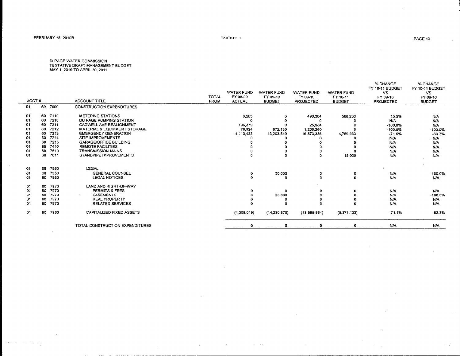) and<br>an  $\gamma\omega$  is

 $\sim$ 

. . '

 $\mathcal{L}$ 

DUPAGE WATER COMMISSION<br>TENTATIVE DRAFT MANAGEMENT BUDGET<br>MAY 1, 2010 TO APRIL 30, 2011

| ACCT# |    |         | <b>ACCOUNT TITLE</b>             | TOTAL<br><b>FROM</b> | <b>WATER FUND</b><br>FY 08-09<br><b>ACTUAL</b> | <b>WATER FUND</b><br>FY 09-10<br><b>BUDGET</b> | <b>WATER FUND</b><br>FY 09-10<br><b>PROJECTED</b> | <b>WATER FUND</b><br>FY 10-11<br><b>BUDGET</b> | % CHANGE<br>FY 10-11 BUDGET<br>VS.<br>FY 09-10<br><b>PROJECTED</b> | % CHANGE<br>FY 10-11 BUDGET<br>VS.<br>FY 09-10<br><b>BUDGET</b> |
|-------|----|---------|----------------------------------|----------------------|------------------------------------------------|------------------------------------------------|---------------------------------------------------|------------------------------------------------|--------------------------------------------------------------------|-----------------------------------------------------------------|
| 01    | 60 | 7000    | <b>CONSTRUCTION EXPENDITURES</b> |                      |                                                |                                                |                                                   |                                                |                                                                    |                                                                 |
|       |    |         |                                  |                      |                                                |                                                |                                                   |                                                |                                                                    |                                                                 |
| 01    |    | 60 7110 | <b>METERING STATIONS</b>         |                      | 9,283                                          | o                                              | 490.364                                           | 566,200                                        | 15.5%                                                              | N/A                                                             |
| 01    | 60 | 7210    | DU PAGE PUMPING STATION          |                      | Ω                                              |                                                |                                                   |                                                | <b>N/A</b>                                                         | N/A                                                             |
| 01    | 60 | 7211    | CADWELL AVE REALIGNMENT          |                      | 106,379                                        |                                                | 25,984                                            |                                                | $-100.0%$                                                          | N/A                                                             |
| -01   | 60 | 7212    | MATERIAL & EQUIPMENT STORAGE     |                      | 78.924                                         | 972,130                                        | 1,206,260                                         |                                                | $-100.0%$                                                          | $-100.0%$                                                       |
| 01    | 60 | 7213    | <b>EMERGENCY GENERATION</b>      |                      | 4.113,433                                      | 13,203,540                                     | 16,873,356                                        | 4,789,933                                      | $-71.6%$                                                           | $-63.7%$                                                        |
| 01    | 60 | 7214    | SITE IMPROVEMENTS                |                      |                                                |                                                |                                                   |                                                | <b>N/A</b>                                                         | N/A                                                             |
| 01    | 60 | 7215    | <b>GARAGE/OFFICE BUILDING</b>    |                      |                                                |                                                |                                                   |                                                | <b>N/A</b>                                                         | <b>N/A</b>                                                      |
| 01    | 60 | 7410    | REMOTE FACILITIES                |                      |                                                |                                                |                                                   |                                                | <b>N/A</b>                                                         | <b>N/A</b>                                                      |
| 01    | 60 | 7510    | <b>TRANSMISSION MAINS</b>        |                      |                                                |                                                |                                                   |                                                | <b>N/A</b>                                                         | N/A                                                             |
| 01    | 60 | 7611    | STANDPIPE IMPROVEMENTS           |                      | o                                              |                                                | $\Omega$                                          | 15,000                                         | <b>N/A</b>                                                         | N/A                                                             |
| 01    | 60 | 7950    | LEGAL                            |                      |                                                |                                                |                                                   |                                                |                                                                    |                                                                 |
| 01    | 60 | 7950    | <b>GENERAL COUNSEL</b>           |                      | 0                                              | 30,000                                         | 0                                                 | o                                              | <b>N/A</b>                                                         | $-100.0%$                                                       |
| 01    | 60 | 7950    | <b>LEGAL NOTICES</b>             |                      | $\Omega$                                       | o                                              | $\Omega$                                          | $\Omega$                                       | <b>N/A</b>                                                         | N/A                                                             |
| 01    | 60 | 7970    | LAND AND RIGHT-OF-WAY            |                      |                                                |                                                |                                                   |                                                |                                                                    |                                                                 |
| 01    | 60 | 7970    | <b>PERMITS &amp; FEES</b>        |                      | 0                                              | n                                              | 0                                                 |                                                | <b>N/A</b>                                                         | N/A                                                             |
| 01    | 60 | 7970    | <b>EASEMENTS</b>                 |                      | 0                                              | 25,000                                         |                                                   |                                                | <b>N/A</b>                                                         | $-100.0%$                                                       |
| 01    | 60 | 7970    | <b>REAL PROPERTY</b>             |                      |                                                | 0                                              |                                                   |                                                | <b>N/A</b>                                                         | N/A                                                             |
| 01    | 60 | 7970    | <b>RELATED SERVICES</b>          |                      | $\Omega$                                       | n                                              |                                                   |                                                | <b>N/A</b>                                                         | N/A                                                             |
| 01    | 60 | 7980    | CAPITALIZED FIXED ASSETS         |                      | (4,308,019)                                    | (14, 230, 670)                                 | (18,595,964)                                      | (5,371,133)                                    | $-71.1%$                                                           | $-62.3%$                                                        |
|       |    |         | TOTAL CONSTRUCTION EXPENDITURES  |                      | 0                                              |                                                |                                                   |                                                | N/A                                                                | N/A                                                             |
|       |    |         |                                  |                      |                                                |                                                |                                                   |                                                |                                                                    |                                                                 |

 $\sim 10^{-1}$ 

 $\mathcal{L}_{\mathcal{A}}$